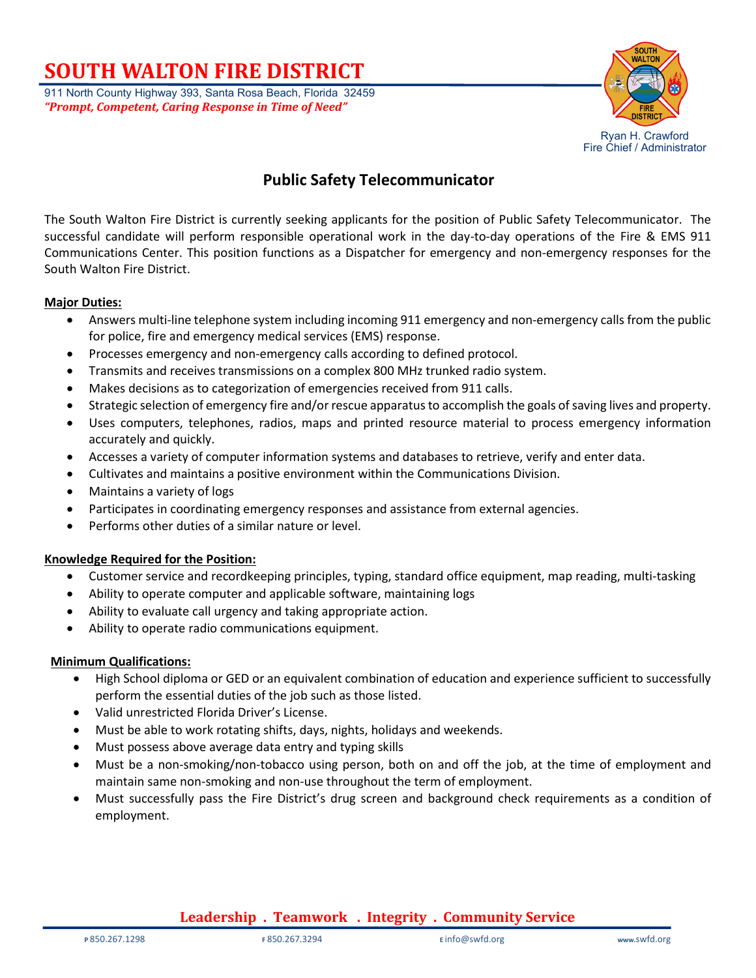**SOUTH WALTON FIRE DISTRICT**

911 North County Highway 393, Santa Rosa Beach, Florida 32459 *"Prompt, Competent, Caring Response in Time of Need"*



## **Public Safety Telecommunicator**

The South Walton Fire District is currently seeking applicants for the position of Public Safety Telecommunicator. The successful candidate will perform responsible operational work in the day-to-day operations of the Fire & EMS 911 Communications Center. This position functions as a Dispatcher for emergency and non-emergency responses for the South Walton Fire District.

### **Major Duties:**

- Answers multi-line telephone system including incoming 911 emergency and non-emergency calls from the public for police, fire and emergency medical services (EMS) response.
- Processes emergency and non-emergency calls according to defined protocol.
- Transmits and receives transmissions on a complex 800 MHz trunked radio system.
- Makes decisions as to categorization of emergencies received from 911 calls.
- Strategic selection of emergency fire and/or rescue apparatus to accomplish the goals of saving lives and property.
- Uses computers, telephones, radios, maps and printed resource material to process emergency information accurately and quickly.
- Accesses a variety of computer information systems and databases to retrieve, verify and enter data.
- Cultivates and maintains a positive environment within the Communications Division.
- Maintains a variety of logs
- Participates in coordinating emergency responses and assistance from external agencies.
- Performs other duties of a similar nature or level.

#### **Knowledge Required for the Position:**

- Customer service and recordkeeping principles, typing, standard office equipment, map reading, multi-tasking
- Ability to operate computer and applicable software, maintaining logs
- Ability to evaluate call urgency and taking appropriate action.
- Ability to operate radio communications equipment.

#### **Minimum Qualifications:**

- High School diploma or GED or an equivalent combination of education and experience sufficient to successfully perform the essential duties of the job such as those listed.
- Valid unrestricted Florida Driver's License.
- Must be able to work rotating shifts, days, nights, holidays and weekends.
- Must possess above average data entry and typing skills
- Must be a non-smoking/non-tobacco using person, both on and off the job, at the time of employment and maintain same non-smoking and non-use throughout the term of employment.
- Must successfully pass the Fire District's drug screen and background check requirements as a condition of employment.